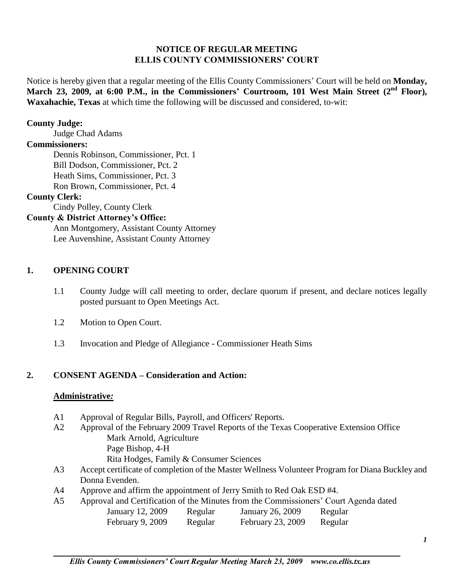#### **NOTICE OF REGULAR MEETING ELLIS COUNTY COMMISSIONERS' COURT**

Notice is hereby given that a regular meeting of the Ellis County Commissioners' Court will be held on **Monday, March 23, 2009, at 6:00 P.M., in the Commissioners' Courtroom, 101 West Main Street (2nd Floor), Waxahachie, Texas** at which time the following will be discussed and considered, to-wit:

#### **County Judge:**

Judge Chad Adams

#### **Commissioners:**

Dennis Robinson, Commissioner, Pct. 1 Bill Dodson, Commissioner, Pct. 2 Heath Sims, Commissioner, Pct. 3 Ron Brown, Commissioner, Pct. 4

#### **County Clerk:**

Cindy Polley, County Clerk

#### **County & District Attorney's Office:**

Ann Montgomery, Assistant County Attorney Lee Auvenshine, Assistant County Attorney

#### **1. OPENING COURT**

- 1.1 County Judge will call meeting to order, declare quorum if present, and declare notices legally posted pursuant to Open Meetings Act.
- 1.2 Motion to Open Court.
- 1.3 Invocation and Pledge of Allegiance Commissioner Heath Sims

#### **2. CONSENT AGENDA – Consideration and Action:**

#### **Administrative***:*

- A1 Approval of Regular Bills, Payroll, and Officers' Reports.
- A2 Approval of the February 2009 Travel Reports of the Texas Cooperative Extension Office Mark Arnold, Agriculture Page Bishop, 4-H
	- Rita Hodges, Family & Consumer Sciences
- A3 Accept certificate of completion of the Master Wellness Volunteer Program for Diana Buckley and Donna Evenden.
- A4 Approve and affirm the appointment of Jerry Smith to Red Oak ESD #4.
- A5 Approval and Certification of the Minutes from the Commissioners' Court Agenda dated January 12, 2009 Regular January 26, 2009 Regular February 9, 2009 Regular February 23, 2009 Regular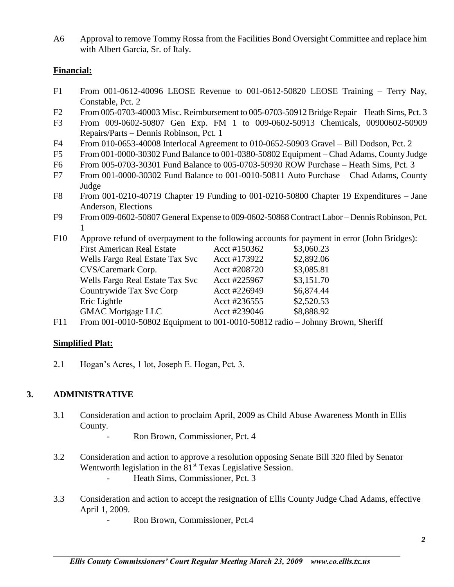A6 Approval to remove Tommy Rossa from the Facilities Bond Oversight Committee and replace him with Albert Garcia, Sr. of Italy.

## **Financial:**

- F1 From 001-0612-40096 LEOSE Revenue to 001-0612-50820 LEOSE Training Terry Nay, Constable, Pct. 2
- F2 From 005-0703-40003 Misc. Reimbursement to 005-0703-50912 Bridge Repair Heath Sims, Pct. 3
- F3 From 009-0602-50807 Gen Exp. FM 1 to 009-0602-50913 Chemicals, 00900602-50909 Repairs/Parts – Dennis Robinson, Pct. 1
- F4 From 010-0653-40008 Interlocal Agreement to 010-0652-50903 Gravel Bill Dodson, Pct. 2
- F5 From 001-0000-30302 Fund Balance to 001-0380-50802 Equipment Chad Adams, County Judge
- F6 From 005-0703-30301 Fund Balance to 005-0703-50930 ROW Purchase Heath Sims, Pct. 3
- F7 From 001-0000-30302 Fund Balance to 001-0010-50811 Auto Purchase Chad Adams, County Judge
- F8 From 001-0210-40719 Chapter 19 Funding to 001-0210-50800 Chapter 19 Expenditures Jane Anderson, Elections
- F9 From 009-0602-50807 General Expense to 009-0602-50868 Contract Labor Dennis Robinson, Pct. 1
- F10 Approve refund of overpayment to the following accounts for payment in error (John Bridges):

| <b>First American Real Estate</b> | Acct #150362 | \$3,060.23 |
|-----------------------------------|--------------|------------|
| Wells Fargo Real Estate Tax Svc   | Acct #173922 | \$2,892.06 |
| CVS/Caremark Corp.                | Acct #208720 | \$3,085.81 |
| Wells Fargo Real Estate Tax Svc   | Acct #225967 | \$3,151.70 |
| Countrywide Tax Svc Corp          | Acct #226949 | \$6,874.44 |
| Eric Lightle                      | Acct #236555 | \$2,520.53 |
| <b>GMAC Mortgage LLC</b>          | Acct #239046 | \$8,888.92 |
|                                   |              |            |

F11 From 001-0010-50802 Equipment to 001-0010-50812 radio – Johnny Brown, Sheriff

## **Simplified Plat:**

2.1 Hogan's Acres, 1 lot, Joseph E. Hogan, Pct. 3.

## **3. ADMINISTRATIVE**

- 3.1 Consideration and action to proclaim April, 2009 as Child Abuse Awareness Month in Ellis County.
	- Ron Brown, Commissioner, Pct. 4
- 3.2 Consideration and action to approve a resolution opposing Senate Bill 320 filed by Senator Wentworth legislation in the  $81<sup>st</sup>$  Texas Legislative Session.
	- Heath Sims, Commissioner, Pct. 3
- 3.3 Consideration and action to accept the resignation of Ellis County Judge Chad Adams, effective April 1, 2009.

Ron Brown, Commissioner, Pct.4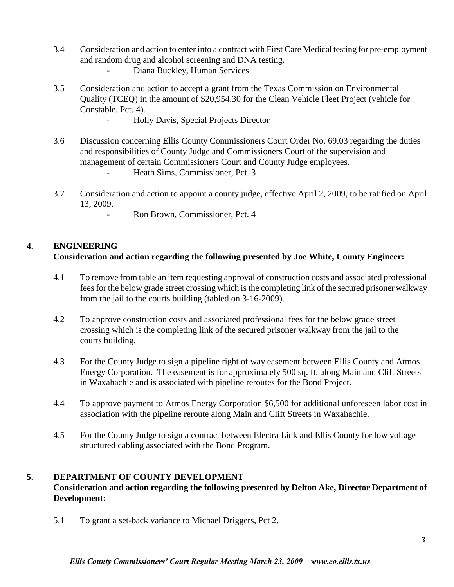- 3.4 Consideration and action to enter into a contract with First Care Medical testing for pre-employment and random drug and alcohol screening and DNA testing. Diana Buckley, Human Services
- 3.5 Consideration and action to accept a grant from the Texas Commission on Environmental Quality (TCEQ) in the amount of \$20,954.30 for the Clean Vehicle Fleet Project (vehicle for Constable, Pct. 4).
	- Holly Davis, Special Projects Director
- 3.6 Discussion concerning Ellis County Commissioners Court Order No. 69.03 regarding the duties and responsibilities of County Judge and Commissioners Court of the supervision and management of certain Commissioners Court and County Judge employees.
	- Heath Sims, Commissioner, Pct. 3
- 3.7 Consideration and action to appoint a county judge, effective April 2, 2009, to be ratified on April 13, 2009.
	- Ron Brown, Commissioner, Pct. 4

## **4. ENGINEERING**

## **Consideration and action regarding the following presented by Joe White, County Engineer:**

- 4.1 To remove from table an item requesting approval of construction costs and associated professional fees for the below grade street crossing which is the completing link of the secured prisoner walkway from the jail to the courts building (tabled on 3-16-2009).
- 4.2 To approve construction costs and associated professional fees for the below grade street crossing which is the completing link of the secured prisoner walkway from the jail to the courts building.
- 4.3 For the County Judge to sign a pipeline right of way easement between Ellis County and Atmos Energy Corporation. The easement is for approximately 500 sq. ft. along Main and Clift Streets in Waxahachie and is associated with pipeline reroutes for the Bond Project.
- 4.4 To approve payment to Atmos Energy Corporation \$6,500 for additional unforeseen labor cost in association with the pipeline reroute along Main and Clift Streets in Waxahachie.
- 4.5 For the County Judge to sign a contract between Electra Link and Ellis County for low voltage structured cabling associated with the Bond Program.

## **5. DEPARTMENT OF COUNTY DEVELOPMENT**

## **Consideration and action regarding the following presented by Delton Ake, Director Department of Development:**

5.1 To grant a set-back variance to Michael Driggers, Pct 2.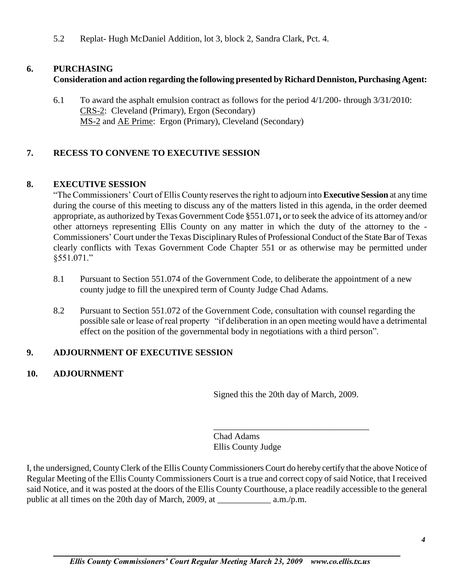5.2 Replat- Hugh McDaniel Addition, lot 3, block 2, Sandra Clark, Pct. 4.

# **6. PURCHASING**

# **Consideration and action regarding the following presented by Richard Denniston, Purchasing Agent:**

6.1 To award the asphalt emulsion contract as follows for the period 4/1/200- through 3/31/2010: CRS-2: Cleveland (Primary), Ergon (Secondary) MS-2 and AE Prime: Ergon (Primary), Cleveland (Secondary)

# **7. RECESS TO CONVENE TO EXECUTIVE SESSION**

# **8. EXECUTIVE SESSION**

"The Commissioners' Court of Ellis County reserves the right to adjourn into **Executive Session** at any time during the course of this meeting to discuss any of the matters listed in this agenda, in the order deemed appropriate, as authorized by Texas Government Code §551.071**,** or to seek the advice of its attorney and/or other attorneys representing Ellis County on any matter in which the duty of the attorney to the - Commissioners' Court under the Texas Disciplinary Rules of Professional Conduct of the State Bar of Texas clearly conflicts with Texas Government Code Chapter 551 or as otherwise may be permitted under §551.071."

- 8.1 Pursuant to Section 551.074 of the Government Code, to deliberate the appointment of a new county judge to fill the unexpired term of County Judge Chad Adams.
- 8.2 Pursuant to Section 551.072 of the Government Code, consultation with counsel regarding the possible sale or lease of real property "if deliberation in an open meeting would have a detrimental effect on the position of the governmental body in negotiations with a third person".

# **9. ADJOURNMENT OF EXECUTIVE SESSION**

# **10. ADJOURNMENT**

Signed this the 20th day of March, 2009.

\_\_\_\_\_\_\_\_\_\_\_\_\_\_\_\_\_\_\_\_\_\_\_\_\_\_\_\_\_\_\_\_\_\_\_

Chad Adams Ellis County Judge

I, the undersigned, County Clerk of the Ellis County Commissioners Court do hereby certify that the above Notice of Regular Meeting of the Ellis County Commissioners Court is a true and correct copy of said Notice, that I received said Notice, and it was posted at the doors of the Ellis County Courthouse, a place readily accessible to the general public at all times on the 20th day of March, 2009, at \_\_\_\_\_\_\_\_\_\_\_\_ a.m./p.m.